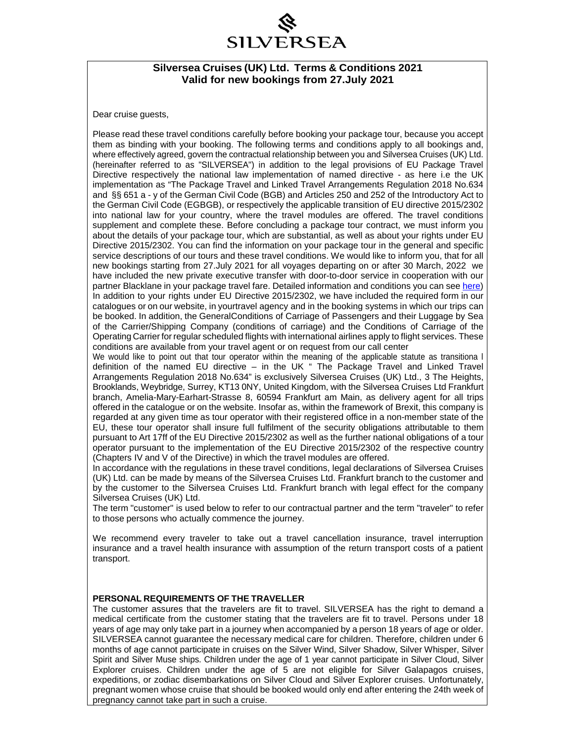## SILVERSEA

#### **Silversea Cruises (UK) Ltd. Terms & Conditions 2021 Valid for new bookings from 27.July 2021**

Dear cruise guests,

Please read these travel conditions carefully before booking your package tour, because you accept them as binding with your booking. The following terms and conditions apply to all bookings and, where effectively agreed, govern the contractual relationship between you and Silversea Cruises (UK) Ltd. (hereinafter referred to as "SILVERSEA") in addition to the legal provisions of EU Package Travel Directive respectively the national law implementation of named directive - as here i.e the UK implementation as "The Package Travel and Linked Travel Arrangements Regulation 2018 No.634 and §§ 651 a - y of the German Civil Code (BGB) and Articles 250 and 252 of the Introductory Act to the German Civil Code (EGBGB), or respectively the applicable transition of EU directive 2015/2302 into national law for your country, where the travel modules are offered. The travel conditions supplement and complete these. Before concluding a package tour contract, we must inform you about the details of your package tour, which are substantial, as well as about your rights under EU Directive 2015/2302. You can find the information on your package tour in the general and specific service descriptions of our tours and these travel conditions. We would like to inform you, that for all new bookings starting from 27.July 2021 for all voyages departing on or after 30 March, 2022 we have included the new private executive transfer with door-to-door service in cooperation with our partner Blacklane in your package travel fare. Detailed information and conditions you can se[e here\)](https://www.silversea.com/terms-and-conditions.html) In addition to your rights under EU Directive 2015/2302, we have included the required form in our catalogues or on our website, in yourtravel agency and in the booking systems in which our trips can be booked. In addition, the GeneralConditions of Carriage of Passengers and their Luggage by Sea of the Carrier/Shipping Company (conditions of carriage) and the Conditions of Carriage of the Operating Carrier for regular scheduled flights with international airlines apply to flight services. These conditions are available from your travel agent or on request from our call center

We would like to point out that tour operator within the meaning of the applicable statute as transitiona I definition of the named EU directive – in the UK " The Package Travel and Linked Travel Arrangements Regulation 2018 No.634" is exclusively Silversea Cruises (UK) Ltd., 3 The Heights, Brooklands, Weybridge, Surrey, KT13 0NY, United Kingdom, with the Silversea Cruises Ltd Frankfurt branch, Amelia-Mary-Earhart-Strasse 8, 60594 Frankfurt am Main, as delivery agent for all trips offered in the catalogue or on the website. Insofar as, within the framework of Brexit, this company is regarded at any given time as tour operator with their registered office in a non-member state of the EU, these tour operator shall insure full fulfilment of the security obligations attributable to them pursuant to Art 17ff of the EU Directive 2015/2302 as well as the further national obligations of a tour operator pursuant to the implementation of the EU Directive 2015/2302 of the respective country (Chapters IV and V of the Directive) in which the travel modules are offered.

In accordance with the regulations in these travel conditions, legal declarations of Silversea Cruises (UK) Ltd. can be made by means of the Silversea Cruises Ltd. Frankfurt branch to the customer and by the customer to the Silversea Cruises Ltd. Frankfurt branch with legal effect for the company Silversea Cruises (UK) Ltd.

The term "customer" is used below to refer to our contractual partner and the term "traveler" to refer to those persons who actually commence the journey.

We recommend every traveler to take out a travel cancellation insurance, travel interruption insurance and a travel health insurance with assumption of the return transport costs of a patient transport.

#### **PERSONAL REQUIREMENTS OF THE TRAVELLER**

The customer assures that the travelers are fit to travel. SILVERSEA has the right to demand a medical certificate from the customer stating that the travelers are fit to travel. Persons under 18 years of age may only take part in a journey when accompanied by a person 18 years of age or older. SILVERSEA cannot guarantee the necessary medical care for children. Therefore, children under 6 months of age cannot participate in cruises on the Silver Wind, Silver Shadow, Silver Whisper, Silver Spirit and Silver Muse ships. Children under the age of 1 year cannot participate in Silver Cloud, Silver Explorer cruises. Children under the age of 5 are not eligible for Silver Galapagos cruises, expeditions, or zodiac disembarkations on Silver Cloud and Silver Explorer cruises. Unfortunately, pregnant women whose cruise that should be booked would only end after entering the 24th week of pregnancy cannot take part in such a cruise.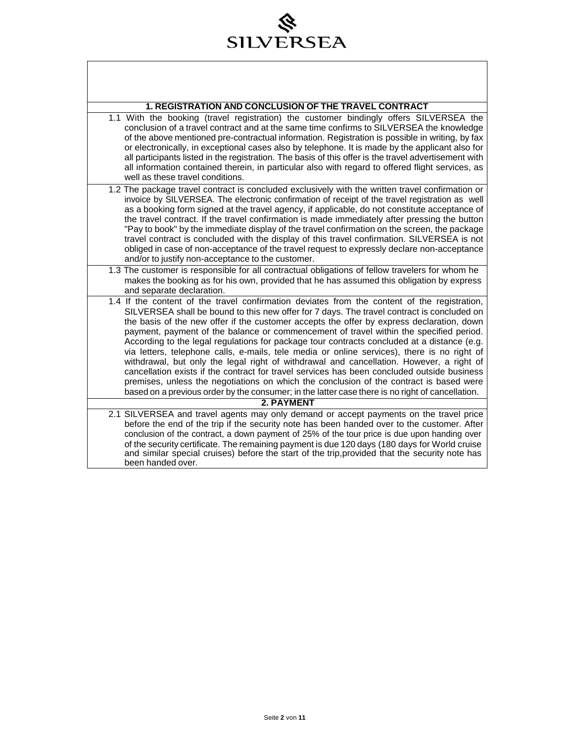## 令 SILVERSEA

 $\overline{\phantom{a}}$ 

| <b>1. REGISTRATION AND CONCLUSION OF THE TRAVEL CONTRACT</b>                                                                                                                                                                                                                                                                                                                                                                                                                                                                                                                                                                                                                                                                                                                                                                                                                                                                                                              |  |
|---------------------------------------------------------------------------------------------------------------------------------------------------------------------------------------------------------------------------------------------------------------------------------------------------------------------------------------------------------------------------------------------------------------------------------------------------------------------------------------------------------------------------------------------------------------------------------------------------------------------------------------------------------------------------------------------------------------------------------------------------------------------------------------------------------------------------------------------------------------------------------------------------------------------------------------------------------------------------|--|
| 1.1 With the booking (travel registration) the customer bindingly offers SILVERSEA the<br>conclusion of a travel contract and at the same time confirms to SILVERSEA the knowledge<br>of the above mentioned pre-contractual information. Registration is possible in writing, by fax<br>or electronically, in exceptional cases also by telephone. It is made by the applicant also for<br>all participants listed in the registration. The basis of this offer is the travel advertisement with<br>all information contained therein, in particular also with regard to offered flight services, as<br>well as these travel conditions.                                                                                                                                                                                                                                                                                                                                 |  |
| 1.2 The package travel contract is concluded exclusively with the written travel confirmation or<br>invoice by SILVERSEA. The electronic confirmation of receipt of the travel registration as well<br>as a booking form signed at the travel agency, if applicable, do not constitute acceptance of<br>the travel contract. If the travel confirmation is made immediately after pressing the button<br>"Pay to book" by the immediate display of the travel confirmation on the screen, the package<br>travel contract is concluded with the display of this travel confirmation. SILVERSEA is not<br>obliged in case of non-acceptance of the travel request to expressly declare non-acceptance<br>and/or to justify non-acceptance to the customer.                                                                                                                                                                                                                  |  |
| 1.3 The customer is responsible for all contractual obligations of fellow travelers for whom he<br>makes the booking as for his own, provided that he has assumed this obligation by express<br>and separate declaration.                                                                                                                                                                                                                                                                                                                                                                                                                                                                                                                                                                                                                                                                                                                                                 |  |
| 1.4 If the content of the travel confirmation deviates from the content of the registration,<br>SILVERSEA shall be bound to this new offer for 7 days. The travel contract is concluded on<br>the basis of the new offer if the customer accepts the offer by express declaration, down<br>payment, payment of the balance or commencement of travel within the specified period.<br>According to the legal regulations for package tour contracts concluded at a distance (e.g.<br>via letters, telephone calls, e-mails, tele media or online services), there is no right of<br>withdrawal, but only the legal right of withdrawal and cancellation. However, a right of<br>cancellation exists if the contract for travel services has been concluded outside business<br>premises, unless the negotiations on which the conclusion of the contract is based were<br>based on a previous order by the consumer; in the latter case there is no right of cancellation. |  |
| 2. PAYMENT                                                                                                                                                                                                                                                                                                                                                                                                                                                                                                                                                                                                                                                                                                                                                                                                                                                                                                                                                                |  |
| 2.1 SILVERSEA and travel agents may only demand or accept payments on the travel price<br>before the end of the trip if the security note has been handed over to the customer. After<br>conclusion of the contract, a down payment of 25% of the tour price is due upon handing over<br>of the security certificate. The remaining payment is due 120 days (180 days for World cruise<br>and similar special cruises) before the start of the trip, provided that the security note has<br>been handed over.                                                                                                                                                                                                                                                                                                                                                                                                                                                             |  |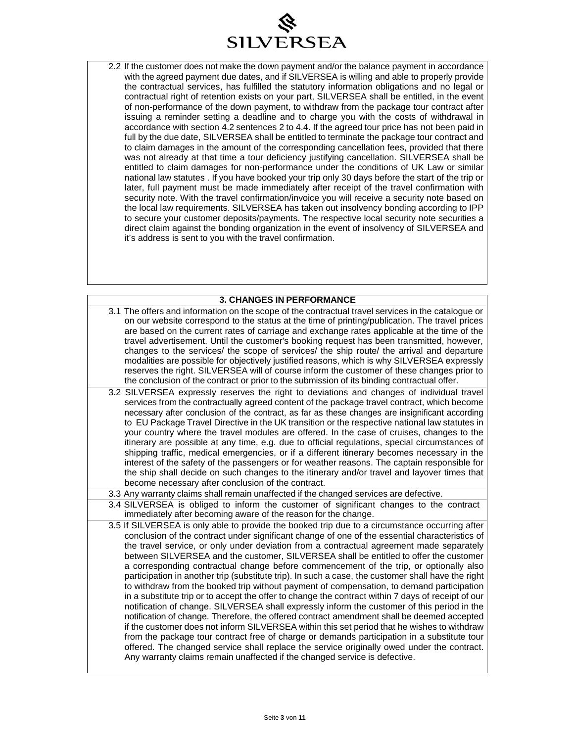

2.2 If the customer does not make the down payment and/or the balance payment in accordance with the agreed payment due dates, and if SILVERSEA is willing and able to properly provide the contractual services, has fulfilled the statutory information obligations and no legal or contractual right of retention exists on your part, SILVERSEA shall be entitled, in the event of non-performance of the down payment, to withdraw from the package tour contract after issuing a reminder setting a deadline and to charge you with the costs of withdrawal in accordance with section 4.2 sentences 2 to 4.4. If the agreed tour price has not been paid in full by the due date, SILVERSEA shall be entitled to terminate the package tour contract and to claim damages in the amount of the corresponding cancellation fees, provided that there was not already at that time a tour deficiency justifying cancellation. SILVERSEA shall be entitled to claim damages for non-performance under the conditions of UK Law or similar national law statutes . If you have booked your trip only 30 days before the start of the trip or later, full payment must be made immediately after receipt of the travel confirmation with security note. With the travel confirmation/invoice you will receive a security note based on the local law requirements. SILVERSEA has taken out insolvency bonding according to IPP to secure your customer deposits/payments. The respective local security note securities a direct claim against the bonding organization in the event of insolvency of SILVERSEA and it's address is sent to you with the travel confirmation.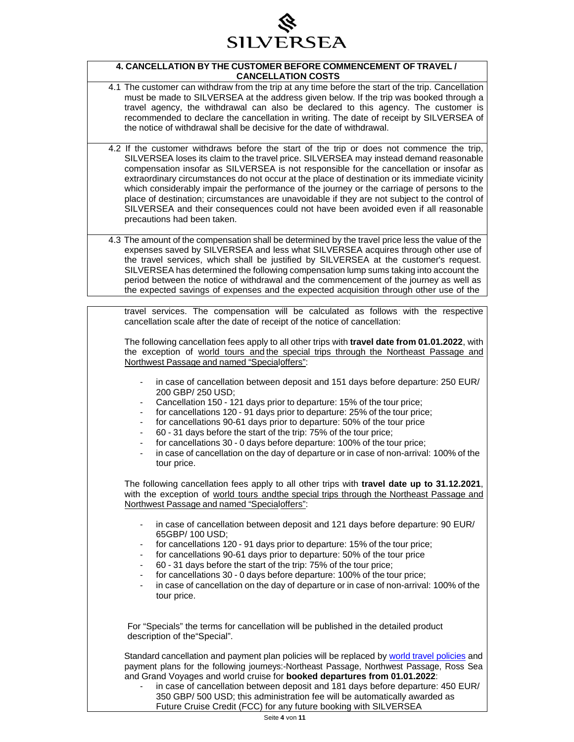

#### **4. CANCELLATION BY THE CUSTOMER BEFORE COMMENCEMENT OF TRAVEL / CANCELLATION COSTS**

- 4.1 The customer can withdraw from the trip at any time before the start of the trip. Cancellation must be made to SILVERSEA at the address given below. If the trip was booked through a travel agency, the withdrawal can also be declared to this agency. The customer is recommended to declare the cancellation in writing. The date of receipt by SILVERSEA of the notice of withdrawal shall be decisive for the date of withdrawal.
- 4.2 If the customer withdraws before the start of the trip or does not commence the trip, SILVERSEA loses its claim to the travel price. SILVERSEA may instead demand reasonable compensation insofar as SILVERSEA is not responsible for the cancellation or insofar as extraordinary circumstances do not occur at the place of destination or its immediate vicinity which considerably impair the performance of the journey or the carriage of persons to the place of destination; circumstances are unavoidable if they are not subject to the control of SILVERSEA and their consequences could not have been avoided even if all reasonable precautions had been taken.
	- 4.3 The amount of the compensation shall be determined by the travel price less the value of the expenses saved by SILVERSEA and less what SILVERSEA acquires through other use of the travel services, which shall be justified by SILVERSEA at the customer's request. SILVERSEA has determined the following compensation lump sums taking into account the period between the notice of withdrawal and the commencement of the journey as well as the expected savings of expenses and the expected acquisition through other use of the

travel services. The compensation will be calculated as follows with the respective cancellation scale after the date of receipt of the notice of cancellation:

The following cancellation fees apply to all other trips with **travel date from 01.01.2022**, with the exception of world tours and the special trips through the Northeast Passage and Northwest Passage and named "Specialoffers":

- in case of cancellation between deposit and 151 days before departure: 250 EUR/ 200 GBP/ 250 USD;
- Cancellation 150 121 days prior to departure: 15% of the tour price;
- for cancellations 120 91 days prior to departure: 25% of the tour price;
- for cancellations 90-61 days prior to departure: 50% of the tour price
- 60 31 days before the start of the trip: 75% of the tour price;
- for cancellations 30 0 days before departure: 100% of the tour price;
- in case of cancellation on the day of departure or in case of non-arrival: 100% of the tour price.

The following cancellation fees apply to all other trips with **travel date up to 31.12.2021**, with the exception of world tours andthe special trips through the Northeast Passage and Northwest Passage and named "Specialoffers":

- in case of cancellation between deposit and 121 days before departure: 90 EUR/ 65GBP/ 100 USD;
- for cancellations 120 91 days prior to departure: 15% of the tour price;
- for cancellations 90-61 days prior to departure: 50% of the tour price
- 60 31 days before the start of the trip: 75% of the tour price;
- for cancellations 30 0 days before departure: 100% of the tour price;
- in case of cancellation on the day of departure or in case of non-arrival: 100% of the tour price.

For "Specials" the terms for cancellation will be published in the detailed product description of the"Special".

Standard cancellation and payment plan policies will be replaced by world travel policies and payment plans for the following journeys:-Northeast Passage, Northwest Passage, Ross Sea and Grand Voyages and world cruise for **booked departures from 01.01.2022**:

in case of cancellation between deposit and 181 days before departure: 450 EUR/ 350 GBP/ 500 USD; this administration fee will be automatically awarded as Future Cruise Credit (FCC) for any future booking with SILVERSEA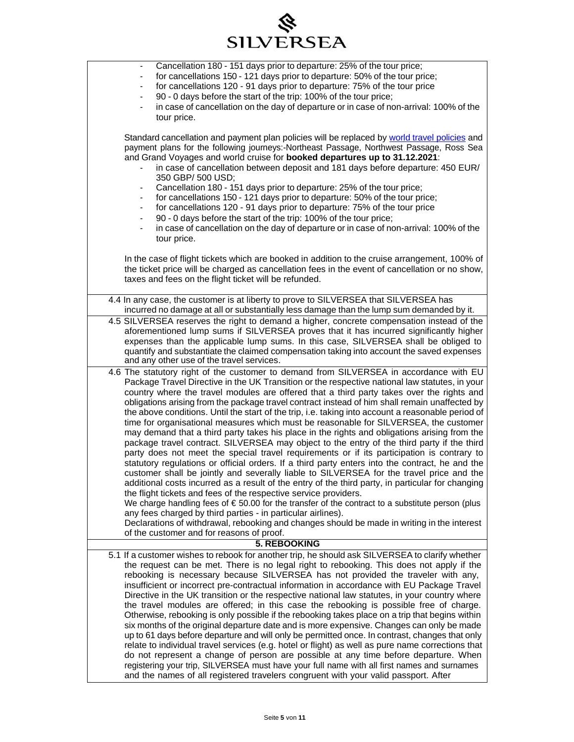| <b>SILVERSEA</b>                                                                                                                                                                                                                                                                                                                                                                                                                                                                                                                                                                                                                                                                                                                                                                                                                                                                                                                                                                                                                                                                                                                                                                                                                                                                                                                                                                                                                                                                                                                                                                                           |  |  |
|------------------------------------------------------------------------------------------------------------------------------------------------------------------------------------------------------------------------------------------------------------------------------------------------------------------------------------------------------------------------------------------------------------------------------------------------------------------------------------------------------------------------------------------------------------------------------------------------------------------------------------------------------------------------------------------------------------------------------------------------------------------------------------------------------------------------------------------------------------------------------------------------------------------------------------------------------------------------------------------------------------------------------------------------------------------------------------------------------------------------------------------------------------------------------------------------------------------------------------------------------------------------------------------------------------------------------------------------------------------------------------------------------------------------------------------------------------------------------------------------------------------------------------------------------------------------------------------------------------|--|--|
| Cancellation 180 - 151 days prior to departure: 25% of the tour price;<br>$\overline{\phantom{a}}$<br>for cancellations 150 - 121 days prior to departure: 50% of the tour price;<br>for cancellations 120 - 91 days prior to departure: 75% of the tour price<br>$\blacksquare$<br>90 - 0 days before the start of the trip: 100% of the tour price;<br>$\overline{\phantom{a}}$<br>in case of cancellation on the day of departure or in case of non-arrival: 100% of the<br>tour price.                                                                                                                                                                                                                                                                                                                                                                                                                                                                                                                                                                                                                                                                                                                                                                                                                                                                                                                                                                                                                                                                                                                 |  |  |
| Standard cancellation and payment plan policies will be replaced by world travel policies and<br>payment plans for the following journeys:-Northeast Passage, Northwest Passage, Ross Sea<br>and Grand Voyages and world cruise for booked departures up to 31.12.2021:<br>in case of cancellation between deposit and 181 days before departure: 450 EUR/<br>350 GBP/ 500 USD;<br>Cancellation 180 - 151 days prior to departure: 25% of the tour price;<br>$\blacksquare$<br>for cancellations 150 - 121 days prior to departure: 50% of the tour price;<br>for cancellations 120 - 91 days prior to departure: 75% of the tour price<br>90 - 0 days before the start of the trip: 100% of the tour price;<br>in case of cancellation on the day of departure or in case of non-arrival: 100% of the<br>tour price.                                                                                                                                                                                                                                                                                                                                                                                                                                                                                                                                                                                                                                                                                                                                                                                      |  |  |
| In the case of flight tickets which are booked in addition to the cruise arrangement, 100% of<br>the ticket price will be charged as cancellation fees in the event of cancellation or no show,<br>taxes and fees on the flight ticket will be refunded.                                                                                                                                                                                                                                                                                                                                                                                                                                                                                                                                                                                                                                                                                                                                                                                                                                                                                                                                                                                                                                                                                                                                                                                                                                                                                                                                                   |  |  |
| 4.4 In any case, the customer is at liberty to prove to SILVERSEA that SILVERSEA has                                                                                                                                                                                                                                                                                                                                                                                                                                                                                                                                                                                                                                                                                                                                                                                                                                                                                                                                                                                                                                                                                                                                                                                                                                                                                                                                                                                                                                                                                                                       |  |  |
| incurred no damage at all or substantially less damage than the lump sum demanded by it.<br>4.5 SILVERSEA reserves the right to demand a higher, concrete compensation instead of the<br>aforementioned lump sums if SILVERSEA proves that it has incurred significantly higher<br>expenses than the applicable lump sums. In this case, SILVERSEA shall be obliged to<br>quantify and substantiate the claimed compensation taking into account the saved expenses<br>and any other use of the travel services.                                                                                                                                                                                                                                                                                                                                                                                                                                                                                                                                                                                                                                                                                                                                                                                                                                                                                                                                                                                                                                                                                           |  |  |
| 4.6 The statutory right of the customer to demand from SILVERSEA in accordance with EU<br>Package Travel Directive in the UK Transition or the respective national law statutes, in your<br>country where the travel modules are offered that a third party takes over the rights and<br>obligations arising from the package travel contract instead of him shall remain unaffected by<br>the above conditions. Until the start of the trip, i.e. taking into account a reasonable period of<br>time for organisational measures which must be reasonable for SILVERSEA, the customer<br>may demand that a third party takes his place in the rights and obligations arising from the<br>package travel contract. SILVERSEA may object to the entry of the third party if the third<br>party does not meet the special travel requirements or if its participation is contrary to<br>statutory regulations or official orders. If a third party enters into the contract, he and the<br>customer shall be jointly and severally liable to SILVERSEA for the travel price and the<br>additional costs incurred as a result of the entry of the third party, in particular for changing<br>the flight tickets and fees of the respective service providers.<br>We charge handling fees of $\epsilon$ 50.00 for the transfer of the contract to a substitute person (plus<br>any fees charged by third parties - in particular airlines).<br>Declarations of withdrawal, rebooking and changes should be made in writing in the interest<br>of the customer and for reasons of proof.<br><b>5. REBOOKING</b> |  |  |
| 5.1 If a customer wishes to rebook for another trip, he should ask SILVERSEA to clarify whether                                                                                                                                                                                                                                                                                                                                                                                                                                                                                                                                                                                                                                                                                                                                                                                                                                                                                                                                                                                                                                                                                                                                                                                                                                                                                                                                                                                                                                                                                                            |  |  |
| the request can be met. There is no legal right to rebooking. This does not apply if the<br>rebooking is necessary because SILVERSEA has not provided the traveler with any,<br>insufficient or incorrect pre-contractual information in accordance with EU Package Travel<br>Directive in the UK transition or the respective national law statutes, in your country where<br>the travel modules are offered; in this case the rebooking is possible free of charge.<br>Otherwise, rebooking is only possible if the rebooking takes place on a trip that begins within<br>six months of the original departure date and is more expensive. Changes can only be made<br>up to 61 days before departure and will only be permitted once. In contrast, changes that only<br>relate to individual travel services (e.g. hotel or flight) as well as pure name corrections that<br>do not represent a change of person are possible at any time before departure. When<br>registering your trip, SILVERSEA must have your full name with all first names and surnames<br>and the names of all registered travelers congruent with your valid passport. After                                                                                                                                                                                                                                                                                                                                                                                                                                                  |  |  |

令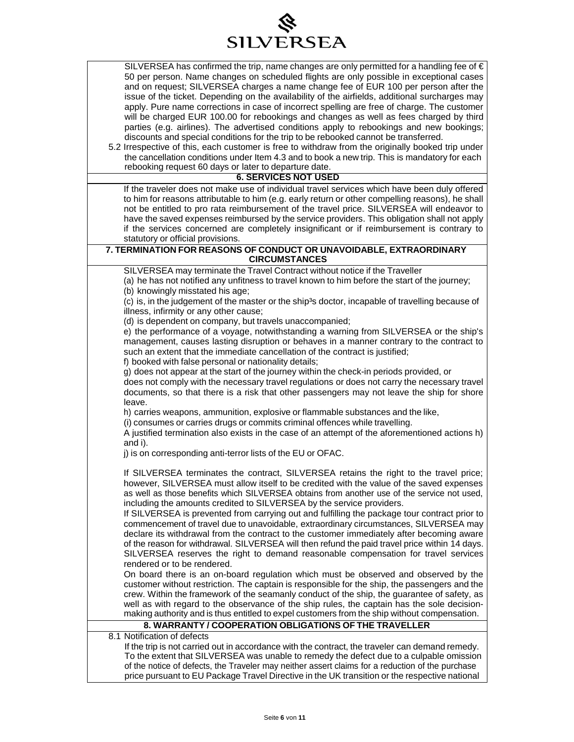

| SILVERSEA has confirmed the trip, name changes are only permitted for a handling fee of $\in$<br>50 per person. Name changes on scheduled flights are only possible in exceptional cases<br>and on request; SILVERSEA charges a name change fee of EUR 100 per person after the<br>issue of the ticket. Depending on the availability of the airfields, additional surcharges may<br>apply. Pure name corrections in case of incorrect spelling are free of charge. The customer<br>will be charged EUR 100.00 for rebookings and changes as well as fees charged by third<br>parties (e.g. airlines). The advertised conditions apply to rebookings and new bookings;<br>discounts and special conditions for the trip to be rebooked cannot be transferred.<br>5.2 Irrespective of this, each customer is free to withdraw from the originally booked trip under<br>the cancellation conditions under Item 4.3 and to book a new trip. This is mandatory for each<br>rebooking request 60 days or later to departure date. |  |
|------------------------------------------------------------------------------------------------------------------------------------------------------------------------------------------------------------------------------------------------------------------------------------------------------------------------------------------------------------------------------------------------------------------------------------------------------------------------------------------------------------------------------------------------------------------------------------------------------------------------------------------------------------------------------------------------------------------------------------------------------------------------------------------------------------------------------------------------------------------------------------------------------------------------------------------------------------------------------------------------------------------------------|--|
| <b>6. SERVICES NOT USED</b>                                                                                                                                                                                                                                                                                                                                                                                                                                                                                                                                                                                                                                                                                                                                                                                                                                                                                                                                                                                                  |  |
| If the traveler does not make use of individual travel services which have been duly offered<br>to him for reasons attributable to him (e.g. early return or other compelling reasons), he shall<br>not be entitled to pro rata reimbursement of the travel price. SILVERSEA will endeavor to<br>have the saved expenses reimbursed by the service providers. This obligation shall not apply<br>if the services concerned are completely insignificant or if reimbursement is contrary to<br>statutory or official provisions.                                                                                                                                                                                                                                                                                                                                                                                                                                                                                              |  |
| 7. TERMINATION FOR REASONS OF CONDUCT OR UNAVOIDABLE, EXTRAORDINARY<br><b>CIRCUMSTANCES</b>                                                                                                                                                                                                                                                                                                                                                                                                                                                                                                                                                                                                                                                                                                                                                                                                                                                                                                                                  |  |
| SILVERSEA may terminate the Travel Contract without notice if the Traveller<br>(a) he has not notified any unfitness to travel known to him before the start of the journey;<br>(b) knowingly misstated his age;<br>(c) is, in the judgement of the master or the ship <sup>3</sup> s doctor, incapable of travelling because of                                                                                                                                                                                                                                                                                                                                                                                                                                                                                                                                                                                                                                                                                             |  |
| illness, infirmity or any other cause;<br>(d) is dependent on company, but travels unaccompanied;                                                                                                                                                                                                                                                                                                                                                                                                                                                                                                                                                                                                                                                                                                                                                                                                                                                                                                                            |  |
| e) the performance of a voyage, notwithstanding a warning from SILVERSEA or the ship's<br>management, causes lasting disruption or behaves in a manner contrary to the contract to<br>such an extent that the immediate cancellation of the contract is justified;<br>f) booked with false personal or nationality details;                                                                                                                                                                                                                                                                                                                                                                                                                                                                                                                                                                                                                                                                                                  |  |
| g) does not appear at the start of the journey within the check-in periods provided, or<br>does not comply with the necessary travel regulations or does not carry the necessary travel<br>documents, so that there is a risk that other passengers may not leave the ship for shore<br>leave.                                                                                                                                                                                                                                                                                                                                                                                                                                                                                                                                                                                                                                                                                                                               |  |
| h) carries weapons, ammunition, explosive or flammable substances and the like,<br>(i) consumes or carries drugs or commits criminal offences while travelling.<br>A justified termination also exists in the case of an attempt of the aforementioned actions h)<br>and i).                                                                                                                                                                                                                                                                                                                                                                                                                                                                                                                                                                                                                                                                                                                                                 |  |
| j) is on corresponding anti-terror lists of the EU or OFAC.                                                                                                                                                                                                                                                                                                                                                                                                                                                                                                                                                                                                                                                                                                                                                                                                                                                                                                                                                                  |  |
| If SILVERSEA terminates the contract, SILVERSEA retains the right to the travel price;<br>however, SILVERSEA must allow itself to be credited with the value of the saved expenses<br>as well as those benefits which SILVERSEA obtains from another use of the service not used,<br>including the amounts credited to SILVERSEA by the service providers.                                                                                                                                                                                                                                                                                                                                                                                                                                                                                                                                                                                                                                                                   |  |
| If SILVERSEA is prevented from carrying out and fulfilling the package tour contract prior to<br>commencement of travel due to unavoidable, extraordinary circumstances, SILVERSEA may<br>declare its withdrawal from the contract to the customer immediately after becoming aware<br>of the reason for withdrawal. SILVERSEA will then refund the paid travel price within 14 days.<br>SILVERSEA reserves the right to demand reasonable compensation for travel services<br>rendered or to be rendered.                                                                                                                                                                                                                                                                                                                                                                                                                                                                                                                   |  |
| On board there is an on-board regulation which must be observed and observed by the<br>customer without restriction. The captain is responsible for the ship, the passengers and the<br>crew. Within the framework of the seamanly conduct of the ship, the guarantee of safety, as<br>well as with regard to the observance of the ship rules, the captain has the sole decision-<br>making authority and is thus entitled to expel customers from the ship without compensation.<br>8. WARRANTY / COOPERATION OBLIGATIONS OF THE TRAVELLER                                                                                                                                                                                                                                                                                                                                                                                                                                                                                 |  |
| 8.1 Notification of defects                                                                                                                                                                                                                                                                                                                                                                                                                                                                                                                                                                                                                                                                                                                                                                                                                                                                                                                                                                                                  |  |
| If the trip is not carried out in accordance with the contract, the traveler can demand remedy.<br>To the extent that SILVERSEA was unable to remedy the defect due to a culpable omission<br>of the notice of defects, the Traveler may neither assert claims for a reduction of the purchase                                                                                                                                                                                                                                                                                                                                                                                                                                                                                                                                                                                                                                                                                                                               |  |

price pursuant to EU Package Travel Directive in the UK transition or the respective national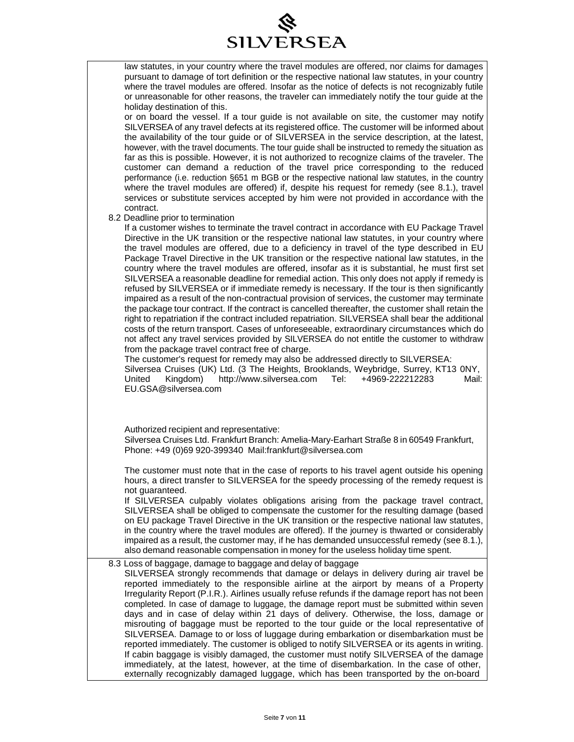

| law statutes, in your country where the travel modules are offered, nor claims for damages        |
|---------------------------------------------------------------------------------------------------|
| pursuant to damage of tort definition or the respective national law statutes, in your country    |
| where the travel modules are offered. Insofar as the notice of defects is not recognizably futile |
| or unreasonable for other reasons, the traveler can immediately notify the tour quide at the      |
| holiday destination of this.                                                                      |

or on board the vessel. If a tour guide is not available on site, the customer may notify SILVERSEA of any travel defects at its registered office. The customer will be informed about the availability of the tour guide or of SILVERSEA in the service description, at the latest, however, with the travel documents. The tour guide shall be instructed to remedy the situation as far as this is possible. However, it is not authorized to recognize claims of the traveler. The customer can demand a reduction of the travel price corresponding to the reduced performance (i.e. reduction §651 m BGB or the respective national law statutes, in the country where the travel modules are offered) if, despite his request for remedy (see 8.1.), travel services or substitute services accepted by him were not provided in accordance with the contract.

#### 8.2 Deadline prior to termination

If a customer wishes to terminate the travel contract in accordance with EU Package Travel Directive in the UK transition or the respective national law statutes, in your country where the travel modules are offered, due to a deficiency in travel of the type described in EU Package Travel Directive in the UK transition or the respective national law statutes, in the country where the travel modules are offered, insofar as it is substantial, he must first set SILVERSEA a reasonable deadline for remedial action. This only does not apply if remedy is refused by SILVERSEA or if immediate remedy is necessary. If the tour is then significantly impaired as a result of the non-contractual provision of services, the customer may terminate the package tour contract. If the contract is cancelled thereafter, the customer shall retain the right to repatriation if the contract included repatriation. SILVERSEA shall bear the additional costs of the return transport. Cases of unforeseeable, extraordinary circumstances which do not affect any travel services provided by SILVERSEA do not entitle the customer to withdraw from the package travel contract free of charge.

The customer's request for remedy may also be addressed directly to SILVERSEA: Silversea Cruises (UK) Ltd. (3 The Heights, Brooklands, Weybridge, Surrey, KT13 0NY, United Kingdom) [http://www.silversea.com](http://www.silversea.com/) Tel: +4969-222212283 Mail: [EU.GSA@silversea.com](mailto:EU.GSA@silversea.com)

Authorized recipient and representative:

Silversea Cruises Ltd. Frankfurt Branch: Amelia-Mary-Earhart Straße 8 in 60549 Frankfurt, Phone: +49 (0)69 920-399340 [Mail:frankfurt@silversea.com](mailto:frankfurt@silversea.com)

The customer must note that in the case of reports to his travel agent outside his opening hours, a direct transfer to SILVERSEA for the speedy processing of the remedy request is not guaranteed.

If SILVERSEA culpably violates obligations arising from the package travel contract, SILVERSEA shall be obliged to compensate the customer for the resulting damage (based on EU package Travel Directive in the UK transition or the respective national law statutes, in the country where the travel modules are offered). If the journey is thwarted or considerably impaired as a result, the customer may, if he has demanded unsuccessful remedy (see 8.1.), also demand reasonable compensation in money for the useless holiday time spent.

#### 8.3 Loss of baggage, damage to baggage and delay of baggage

SILVERSEA strongly recommends that damage or delays in delivery during air travel be reported immediately to the responsible airline at the airport by means of a Property Irregularity Report (P.I.R.). Airlines usually refuse refunds if the damage report has not been completed. In case of damage to luggage, the damage report must be submitted within seven days and in case of delay within 21 days of delivery. Otherwise, the loss, damage or misrouting of baggage must be reported to the tour guide or the local representative of SILVERSEA. Damage to or loss of luggage during embarkation or disembarkation must be reported immediately. The customer is obliged to notify SILVERSEA or its agents in writing. If cabin baggage is visibly damaged, the customer must notify SILVERSEA of the damage immediately, at the latest, however, at the time of disembarkation. In the case of other, externally recognizably damaged luggage, which has been transported by the on-board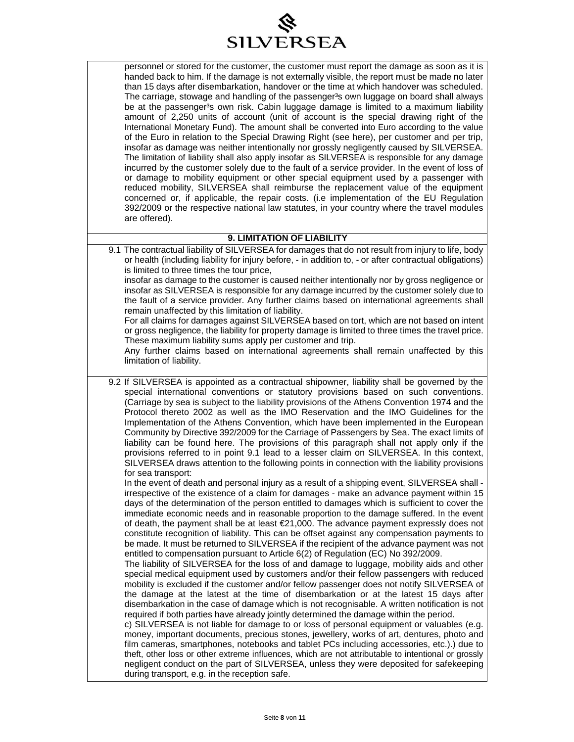

| personnel or stored for the customer, the customer must report the damage as soon as it is<br>handed back to him. If the damage is not externally visible, the report must be made no later<br>than 15 days after disembarkation, handover or the time at which handover was scheduled.<br>The carriage, stowage and handling of the passenger <sup>3</sup> s own luggage on board shall always<br>be at the passenger <sup>3</sup> s own risk. Cabin luggage damage is limited to a maximum liability<br>amount of 2,250 units of account (unit of account is the special drawing right of the<br>International Monetary Fund). The amount shall be converted into Euro according to the value<br>of the Euro in relation to the Special Drawing Right (see here), per customer and per trip,<br>insofar as damage was neither intentionally nor grossly negligently caused by SILVERSEA.<br>The limitation of liability shall also apply insofar as SILVERSEA is responsible for any damage<br>incurred by the customer solely due to the fault of a service provider. In the event of loss of<br>or damage to mobility equipment or other special equipment used by a passenger with<br>reduced mobility, SILVERSEA shall reimburse the replacement value of the equipment<br>concerned or, if applicable, the repair costs. (i.e implementation of the EU Regulation |
|--------------------------------------------------------------------------------------------------------------------------------------------------------------------------------------------------------------------------------------------------------------------------------------------------------------------------------------------------------------------------------------------------------------------------------------------------------------------------------------------------------------------------------------------------------------------------------------------------------------------------------------------------------------------------------------------------------------------------------------------------------------------------------------------------------------------------------------------------------------------------------------------------------------------------------------------------------------------------------------------------------------------------------------------------------------------------------------------------------------------------------------------------------------------------------------------------------------------------------------------------------------------------------------------------------------------------------------------------------------------------|
| 392/2009 or the respective national law statutes, in your country where the travel modules<br>are offered).                                                                                                                                                                                                                                                                                                                                                                                                                                                                                                                                                                                                                                                                                                                                                                                                                                                                                                                                                                                                                                                                                                                                                                                                                                                              |

#### **9. LIMITATION OF LIABILITY**

9.1 The contractual liability of SILVERSEA for damages that do not result from injury to life, body or health (including liability for injury before, - in addition to, - or after contractual obligations) is limited to three times the tour price,

insofar as damage to the customer is caused neither intentionally nor by gross negligence or insofar as SILVERSEA is responsible for any damage incurred by the customer solely due to the fault of a service provider. Any further claims based on international agreements shall remain unaffected by this limitation of liability.

For all claims for damages against SILVERSEA based on tort, which are not based on intent or gross negligence, the liability for property damage is limited to three times the travel price. These maximum liability sums apply per customer and trip.

Any further claims based on international agreements shall remain unaffected by this limitation of liability.

9.2 If SILVERSEA is appointed as a contractual shipowner, liability shall be governed by the special international conventions or statutory provisions based on such conventions. (Carriage by sea is subject to the liability provisions of the Athens Convention 1974 and the Protocol thereto 2002 as well as the IMO Reservation and the IMO Guidelines for the Implementation of the Athens Convention, which have been implemented in the European Community by Directive 392/2009 for the Carriage of Passengers by Sea. The exact limits of liability can be found here. The provisions of this paragraph shall not apply only if the provisions referred to in point 9.1 lead to a lesser claim on SILVERSEA. In this context, SILVERSEA draws attention to the following points in connection with the liability provisions for sea transport:

In the event of death and personal injury as a result of a shipping event, SILVERSEA shall irrespective of the existence of a claim for damages - make an advance payment within 15 days of the determination of the person entitled to damages which is sufficient to cover the immediate economic needs and in reasonable proportion to the damage suffered. In the event of death, the payment shall be at least €21,000. The advance payment expressly does not constitute recognition of liability. This can be offset against any compensation payments to be made. It must be returned to SILVERSEA if the recipient of the advance payment was not entitled to compensation pursuant to Article 6(2) of Regulation (EC) No 392/2009.

The liability of SILVERSEA for the loss of and damage to luggage, mobility aids and other special medical equipment used by customers and/or their fellow passengers with reduced mobility is excluded if the customer and/or fellow passenger does not notify SILVERSEA of the damage at the latest at the time of disembarkation or at the latest 15 days after disembarkation in the case of damage which is not recognisable. A written notification is not required if both parties have already jointly determined the damage within the period.

c) SILVERSEA is not liable for damage to or loss of personal equipment or valuables (e.g. money, important documents, precious stones, jewellery, works of art, dentures, photo and film cameras, smartphones, notebooks and tablet PCs including accessories, etc.).) due to theft, other loss or other extreme influences, which are not attributable to intentional or grossly negligent conduct on the part of SILVERSEA, unless they were deposited for safekeeping during transport, e.g. in the reception safe.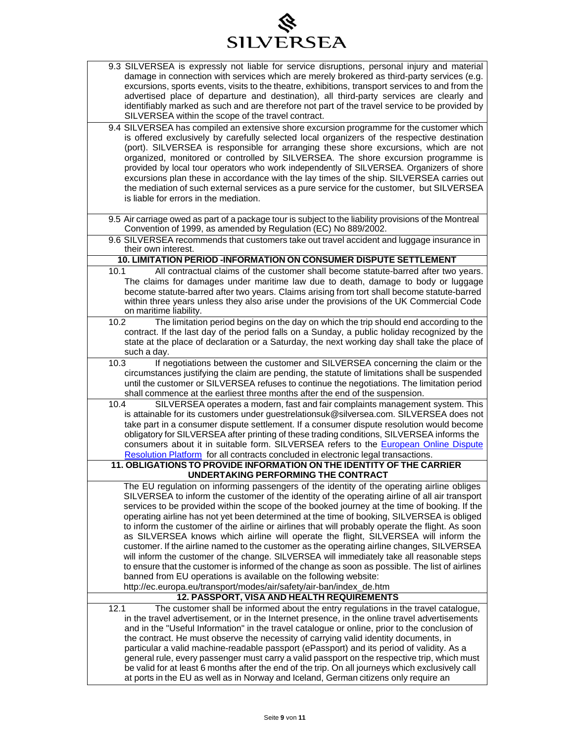# SILVERSEA

| 9.3 SILVERSEA is expressly not liable for service disruptions, personal injury and material<br>damage in connection with services which are merely brokered as third-party services (e.g.       |
|-------------------------------------------------------------------------------------------------------------------------------------------------------------------------------------------------|
| excursions, sports events, visits to the theatre, exhibitions, transport services to and from the                                                                                               |
| advertised place of departure and destination), all third-party services are clearly and                                                                                                        |
| identifiably marked as such and are therefore not part of the travel service to be provided by<br>SILVERSEA within the scope of the travel contract.                                            |
| 9.4 SILVERSEA has compiled an extensive shore excursion programme for the customer which                                                                                                        |
| is offered exclusively by carefully selected local organizers of the respective destination                                                                                                     |
| (port). SILVERSEA is responsible for arranging these shore excursions, which are not                                                                                                            |
| organized, monitored or controlled by SILVERSEA. The shore excursion programme is<br>provided by local tour operators who work independently of SILVERSEA. Organizers of shore                  |
| excursions plan these in accordance with the lay times of the ship. SILVERSEA carries out                                                                                                       |
| the mediation of such external services as a pure service for the customer, but SILVERSEA                                                                                                       |
| is liable for errors in the mediation.                                                                                                                                                          |
|                                                                                                                                                                                                 |
| 9.5 Air carriage owed as part of a package tour is subject to the liability provisions of the Montreal<br>Convention of 1999, as amended by Regulation (EC) No 889/2002.                        |
| 9.6 SILVERSEA recommends that customers take out travel accident and luggage insurance in<br>their own interest.                                                                                |
| 10. LIMITATION PERIOD -INFORMATION ON CONSUMER DISPUTE SETTLEMENT                                                                                                                               |
| All contractual claims of the customer shall become statute-barred after two years.<br>10.1                                                                                                     |
| The claims for damages under maritime law due to death, damage to body or luggage                                                                                                               |
| become statute-barred after two years. Claims arising from tort shall become statute-barred<br>within three years unless they also arise under the provisions of the UK Commercial Code         |
| on maritime liability.                                                                                                                                                                          |
| The limitation period begins on the day on which the trip should end according to the<br>10.2                                                                                                   |
| contract. If the last day of the period falls on a Sunday, a public holiday recognized by the                                                                                                   |
| state at the place of declaration or a Saturday, the next working day shall take the place of<br>such a day.                                                                                    |
| If negotiations between the customer and SILVERSEA concerning the claim or the<br>10.3                                                                                                          |
| circumstances justifying the claim are pending, the statute of limitations shall be suspended                                                                                                   |
| until the customer or SILVERSEA refuses to continue the negotiations. The limitation period<br>shall commence at the earliest three months after the end of the suspension.                     |
| SILVERSEA operates a modern, fast and fair complaints management system. This<br>10.4                                                                                                           |
| is attainable for its customers under guestrelationsuk@silversea.com. SILVERSEA does not                                                                                                        |
| take part in a consumer dispute settlement. If a consumer dispute resolution would become                                                                                                       |
| obligatory for SILVERSEA after printing of these trading conditions, SILVERSEA informs the<br>consumers about it in suitable form. SILVERSEA refers to the European Online Dispute              |
| Resolution Platform for all contracts concluded in electronic legal transactions.                                                                                                               |
| 11. OBLIGATIONS TO PROVIDE INFORMATION ON THE IDENTITY OF THE CARRIER                                                                                                                           |
| UNDERTAKING PERFORMING THE CONTRACT                                                                                                                                                             |
| The EU regulation on informing passengers of the identity of the operating airline obliges                                                                                                      |
| SILVERSEA to inform the customer of the identity of the operating airline of all air transport<br>services to be provided within the scope of the booked journey at the time of booking. If the |
| operating airline has not yet been determined at the time of booking, SILVERSEA is obliged                                                                                                      |
| to inform the customer of the airline or airlines that will probably operate the flight. As soon                                                                                                |
| as SILVERSEA knows which airline will operate the flight, SILVERSEA will inform the                                                                                                             |
| customer. If the airline named to the customer as the operating airline changes, SILVERSEA                                                                                                      |
| will inform the customer of the change. SILVERSEA will immediately take all reasonable steps                                                                                                    |
| to ensure that the customer is informed of the change as soon as possible. The list of airlines<br>banned from EU operations is available on the following website:                             |
| http://ec.europa.eu/transport/modes/air/safety/air-ban/index_de.htm                                                                                                                             |
| 12. PASSPORT, VISA AND HEALTH REQUIREMENTS                                                                                                                                                      |
| The customer shall be informed about the entry regulations in the travel catalogue,<br>12.1                                                                                                     |
| in the travel advertisement, or in the Internet presence, in the online travel advertisements                                                                                                   |
| and in the "Useful Information" in the travel catalogue or online, prior to the conclusion of<br>the contract. He must observe the necessity of carrying valid identity documents, in           |
| particular a valid machine-readable passport (ePassport) and its period of validity. As a                                                                                                       |
| general rule, every passenger must carry a valid passport on the respective trip, which must                                                                                                    |
| be valid for at least 6 months after the end of the trip. On all journeys which exclusively call                                                                                                |
| at ports in the EU as well as in Norway and Iceland, German citizens only require an                                                                                                            |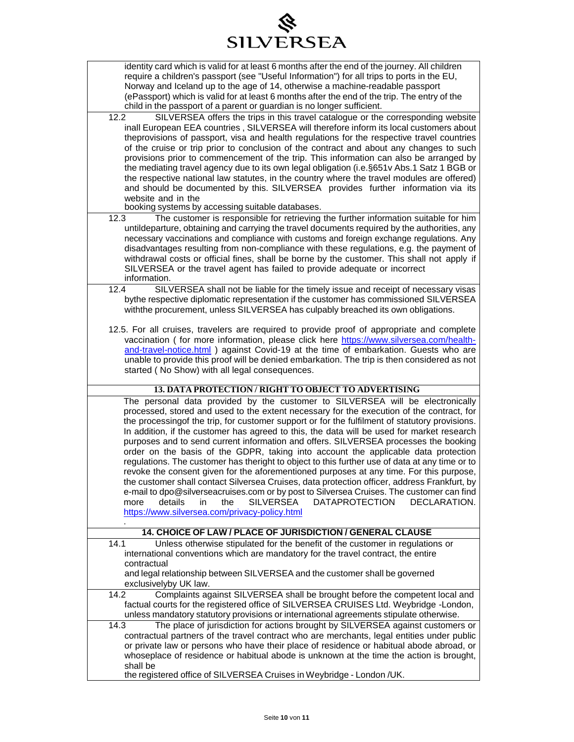### ◈ SILVERSEA

| require a children's passport (see "Useful Information") for all trips to ports in the EU,                                                                                                |
|-------------------------------------------------------------------------------------------------------------------------------------------------------------------------------------------|
|                                                                                                                                                                                           |
| Norway and Iceland up to the age of 14, otherwise a machine-readable passport<br>(ePassport) which is valid for at least 6 months after the end of the trip. The entry of the             |
| child in the passport of a parent or guardian is no longer sufficient.                                                                                                                    |
| 12.2<br>SILVERSEA offers the trips in this travel catalogue or the corresponding website                                                                                                  |
| inall European EEA countries, SILVERSEA will therefore inform its local customers about                                                                                                   |
| theprovisions of passport, visa and health regulations for the respective travel countries                                                                                                |
| of the cruise or trip prior to conclusion of the contract and about any changes to such                                                                                                   |
| provisions prior to commencement of the trip. This information can also be arranged by                                                                                                    |
| the mediating travel agency due to its own legal obligation (i.e. §651v Abs.1 Satz 1 BGB or<br>the respective national law statutes, in the country where the travel modules are offered) |
| and should be documented by this. SILVERSEA provides further information via its                                                                                                          |
| website and in the                                                                                                                                                                        |
| booking systems by accessing suitable databases.                                                                                                                                          |
| The customer is responsible for retrieving the further information suitable for him<br>12.3                                                                                               |
| untildeparture, obtaining and carrying the travel documents required by the authorities, any                                                                                              |
| necessary vaccinations and compliance with customs and foreign exchange regulations. Any                                                                                                  |
| disadvantages resulting from non-compliance with these regulations, e.g. the payment of                                                                                                   |
| withdrawal costs or official fines, shall be borne by the customer. This shall not apply if                                                                                               |
| SILVERSEA or the travel agent has failed to provide adequate or incorrect<br>information.                                                                                                 |
| SILVERSEA shall not be liable for the timely issue and receipt of necessary visas<br>12.4                                                                                                 |
| bythe respective diplomatic representation if the customer has commissioned SILVERSEA                                                                                                     |
| withthe procurement, unless SILVERSEA has culpably breached its own obligations.                                                                                                          |
|                                                                                                                                                                                           |
| 12.5. For all cruises, travelers are required to provide proof of appropriate and complete                                                                                                |
| vaccination (for more information, please click here https://www.silversea.com/health-                                                                                                    |
| and-travel-notice.html ) against Covid-19 at the time of embarkation. Guests who are                                                                                                      |
| unable to provide this proof will be denied embarkation. The trip is then considered as not<br>started (No Show) with all legal consequences.                                             |
|                                                                                                                                                                                           |
| 13. DATA PROTECTION/RIGHT TO OBJECT TO ADVERTISING                                                                                                                                        |
| The personal data provided by the customer to SILVERSEA will be electronically                                                                                                            |
| processed, stored and used to the extent necessary for the execution of the contract, for                                                                                                 |
| the processingof the trip, for customer support or for the fulfilment of statutory provisions.                                                                                            |
| In addition, if the customer has agreed to this, the data will be used for market research                                                                                                |
|                                                                                                                                                                                           |
| purposes and to send current information and offers. SILVERSEA processes the booking                                                                                                      |
| order on the basis of the GDPR, taking into account the applicable data protection                                                                                                        |
| regulations. The customer has theright to object to this further use of data at any time or to                                                                                            |
| revoke the consent given for the aforementioned purposes at any time. For this purpose,                                                                                                   |
| the customer shall contact Silversea Cruises, data protection officer, address Frankfurt, by                                                                                              |
| e-mail to dpo@silverseacruises.com or by post to Silversea Cruises. The customer can find<br>details<br>the<br><b>SILVERSEA</b><br><b>DATAPROTECTION</b><br>DECLARATION.<br>more<br>in    |
| https://www.silversea.com/privacy-policy.html                                                                                                                                             |
|                                                                                                                                                                                           |
| 14. CHOICE OF LAW / PLACE OF JURISDICTION / GENERAL CLAUSE                                                                                                                                |
| 14.1<br>Unless otherwise stipulated for the benefit of the customer in regulations or                                                                                                     |
| international conventions which are mandatory for the travel contract, the entire                                                                                                         |
| contractual                                                                                                                                                                               |
| and legal relationship between SILVERSEA and the customer shall be governed                                                                                                               |
| exclusivelyby UK law.<br>Complaints against SILVERSEA shall be brought before the competent local and<br>14.2                                                                             |
| factual courts for the registered office of SILVERSEA CRUISES Ltd. Weybridge -London,                                                                                                     |
| unless mandatory statutory provisions or international agreements stipulate otherwise.                                                                                                    |
| The place of jurisdiction for actions brought by SILVERSEA against customers or<br>14.3                                                                                                   |
| contractual partners of the travel contract who are merchants, legal entities under public                                                                                                |
| or private law or persons who have their place of residence or habitual abode abroad, or                                                                                                  |
| whoseplace of residence or habitual abode is unknown at the time the action is brought,                                                                                                   |
| shall be<br>the registered office of SILVERSEA Cruises in Weybridge - London /UK.                                                                                                         |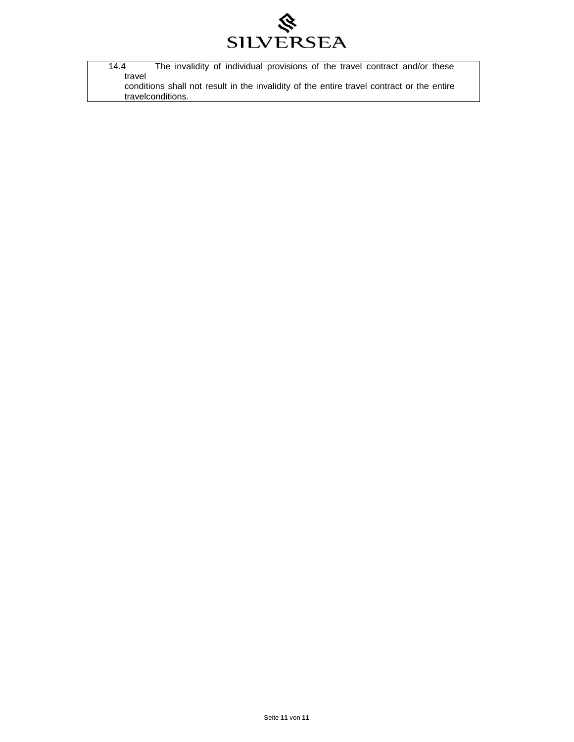

| 14.4   | The invalidity of individual provisions of the travel contract and/or these               |
|--------|-------------------------------------------------------------------------------------------|
| travel |                                                                                           |
|        | conditions shall not result in the invalidity of the entire travel contract or the entire |
|        | travelconditions.                                                                         |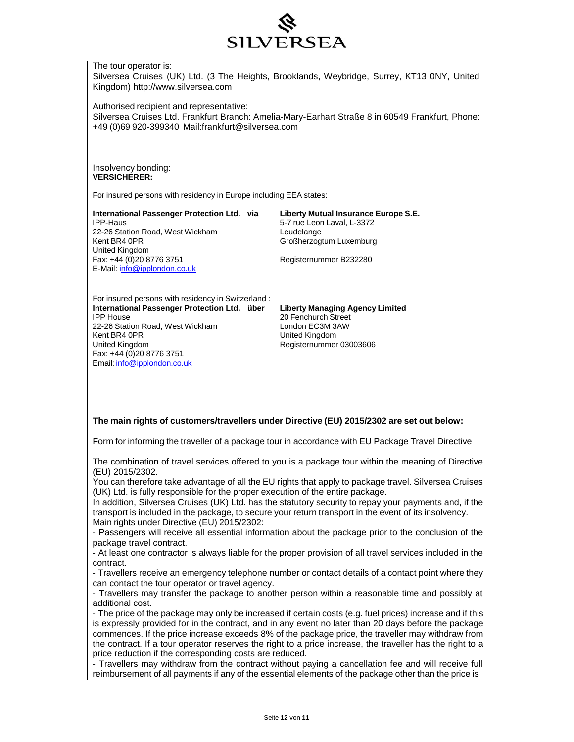

#### The tour operator is:

Silversea Cruises (UK) Ltd. (3 The Heights, Brooklands, Weybridge, Surrey, KT13 0NY, United Kingdom) [http://www.silversea.com](http://www.silversea.com/)

Authorised recipient and representative:

Silversea Cruises Ltd. Frankfurt Branch: Amelia-Mary-Earhart Straße 8 in 60549 Frankfurt, Phone: +49 (0)69 920-399340 [Mail:frankfurt@silversea.com](mailto:frankfurt@silversea.com)

Insolvency bonding: **VERSICHERER:**

For insured persons with residency in Europe including EEA states:

**International Passenger Protection Ltd. via Liberty Mutual Insurance Europe S.E.** 22-26 Station Road, West Wickham Leudelange<br>
Kent BR4 0PR<br>
Croßherzog United Kingdom<br>Fax: +44 (0)20 8776 3751 E-Mail: [info@ipplondon.co.uk](mailto:info@ipplondon.co.uk)

5-7 rue Leon Laval, L-3372 Großherzogtum Luxemburg

Registernummer B232280

For insured persons with residency in Switzerland : **International Passenger Protection Ltd. über Liberty Managing Agency Limited** 22-26 Station Road, West Wickham London EC3M 3AW<br>
Kent BR4 0PR<br>
United Kingdom Kent BR4 0PR United Kingdom Fax: +44 (0)20 8776 3751 Email: [info@ipplondon.co.uk](mailto:info@ipplondon.co.uk)

20 Fenchurch Street Registernummer 03003606

#### **The main rights of customers/travellers under Directive (EU) 2015/2302 are set out below:**

Form for informing the traveller of a package tour in accordance with EU Package Travel Directive

The combination of travel services offered to you is a package tour within the meaning of Directive (EU) 2015/2302.

You can therefore take advantage of all the EU rights that apply to package travel. Silversea Cruises (UK) Ltd. is fully responsible for the proper execution of the entire package.

In addition, Silversea Cruises (UK) Ltd. has the statutory security to repay your payments and, if the transport is included in the package, to secure your return transport in the event of its insolvency. Main rights under Directive (EU) 2015/2302:

- Passengers will receive all essential information about the package prior to the conclusion of the package travel contract.

- At least one contractor is always liable for the proper provision of all travel services included in the contract.

- Travellers receive an emergency telephone number or contact details of a contact point where they can contact the tour operator or travel agency.

- Travellers may transfer the package to another person within a reasonable time and possibly at additional cost.

- The price of the package may only be increased if certain costs (e.g. fuel prices) increase and if this is expressly provided for in the contract, and in any event no later than 20 days before the package commences. If the price increase exceeds 8% of the package price, the traveller may withdraw from the contract. If a tour operator reserves the right to a price increase, the traveller has the right to a price reduction if the corresponding costs are reduced.

- Travellers may withdraw from the contract without paying a cancellation fee and will receive full reimbursement of all payments if any of the essential elements of the package other than the price is